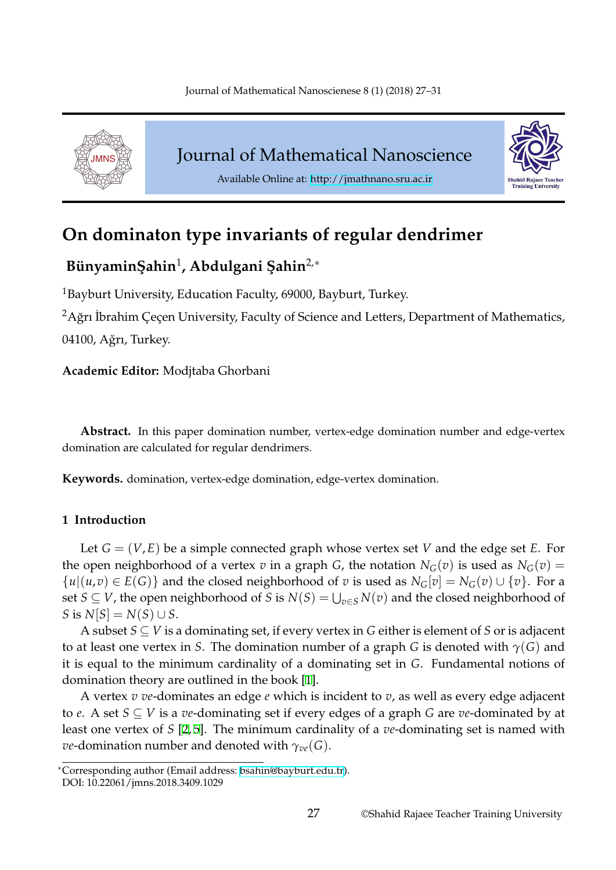<span id="page-0-0"></span>

Journal of Mathematical Nanoscience



Available Online at: http://jmathnano.sru.ac.ir

# **On dominaton type invariants [of regular dend](http://jmathnano.sru.ac.ir)rimer**

## **B ¨unyaminS¸ ahin**<sup>1</sup> **, Abdulgani S¸ ahin**2,*<sup>∗</sup>*

<sup>1</sup>Bayburt University, Education Faculty, 69000, Bayburt, Turkey.

 $^2$ Ağrı İbrahim Çeçen University, Faculty of Science and Letters, Department of Mathematics, 04100, Ağrı, Turkey.

**Academic Editor:** Modjtaba Ghorbani

**Abstract.** In this paper domination number, vertex-edge domination number and edge-vertex domination are calculated for regular dendrimers.

**Keywords.** domination, vertex-edge domination, edge-vertex domination.

## **1 Introduction**

Let *G* = (*V*,*E*) be a simple connected graph whose vertex set *V* and the edge set *E*. For the open neighborhood of a vertex *v* in a graph *G*, the notation  $N_G(v)$  is used as  $N_G(v)$  =  $\{u | (u,v) \in E(G)\}$  and the closed neighborhood of *v* is used as  $N_G[v] = N_G(v) \cup \{v\}$ . For a set  $S \subseteq V$ , the open neighborhood of *S* is  $N(S) = \bigcup_{v \in S} N(v)$  and the closed neighborhood of  $S$  is  $N[S] = N(S) \cup S$ .

A subset *S ⊆ V* is a dominating set, if every vertex in *G* either is element of *S* or is adjacent to at least one vertex in *S*. The domination number of a graph *G* is denoted with *γ*(*G*) and it is equal to the minimum cardinality of a dominating set in *G*. Fundamental notions of domination theory are outlined in the book [1].

A vertex *v ve*-dominates an edge *e* which is incident to *v*, as well as every edge adjacent to *e*. A set *S ⊆ V* is a *ve*-dominating set if every edges of a graph *G* are *ve*-dominated by at least one vertex of *S* [2, 5]. The minimum c[ar](#page-4-0)dinality of a *ve*-dominating set is named with *ve*-domination number and denoted with *γve*(*G*).

*<sup>∗</sup>*Corresponding author (Email address: bsahin@bayburt.edu.tr).

DOI: 10.22061/jmns.2018.[34](#page-4-1)[09](#page-4-2).1029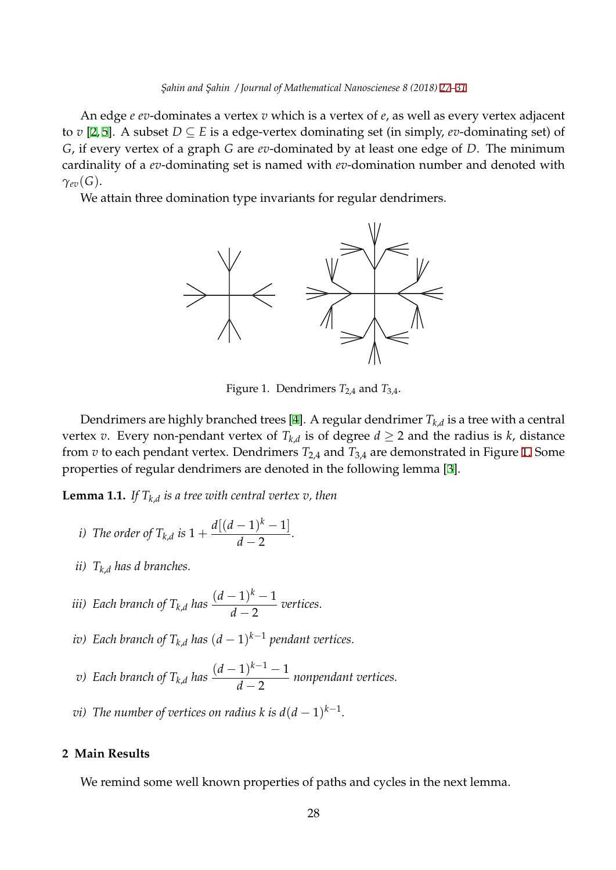An edge *e ev*-dominates a vertex *v* which is a vertex of *e*, as well as every vertex adjacent to *v* [2, 5]. A subset *D ⊆ E* is a edge-vertex dominating set (in simpl[y,](#page-0-0) *ev*[-d](#page-4-3)ominating set) of *G*, if every vertex of a graph *G* are *ev*-dominated by at least one edge of *D*. The minimum cardinality of a *ev*-dominating set is named with *ev*-domination number and denoted with *γev*(*G*[\)](#page-4-1).

We attain three domination type invariants for regular dendrimers.



Figure 1. Dendrimers *T*2,4 and *T*3,4.

Dendrimers are highly branched trees [4]. A regular dendrimer  $T_{k,d}$  is a tree with a central vertex  $v$ . Every non-pendant vertex of  $T_{k,d}$  is of degree  $d \geq 2$  and the radius is  $k$ , distance from *v* to each pendant vertex. Dendrimers *T*2,4 and *T*3,4 are demonstrated in Figure 1. Some properties of regular dendrimers are deno[te](#page-4-4)d in the following lemma [3].

**Lemma 1.1.** *If Tk*,*<sup>d</sup> is a tree with central vertex v, then*

- *i*) The order of  $T_{k,d}$  is  $1 +$  $d[(d-1)^k - 1]$  $\frac{1}{d-2}$ .
- *ii) Tk*,*<sup>d</sup> has d branches.*
- *iii*) Each branch of  $T_{k,d}$  has  $\frac{(d-1)^k-1}{d}$  $\frac{1}{d-2}$  *vertices.*
- *iv) Each branch of Tk*,*<sup>d</sup> has* (*d −* 1) *<sup>k</sup>−*<sup>1</sup> *pendant vertices.*
- *v*) Each branch of  $T_{k,d}$  has  $\frac{(d-1)^{k-1}-1}{d}$ *d −* 2 *nonpendant vertices.*
- *vi)* The number of vertices on radius k is  $d(d-1)^{k-1}$ .

### **2 Main Results**

We remind some well known properties of paths and cycles in the next lemma.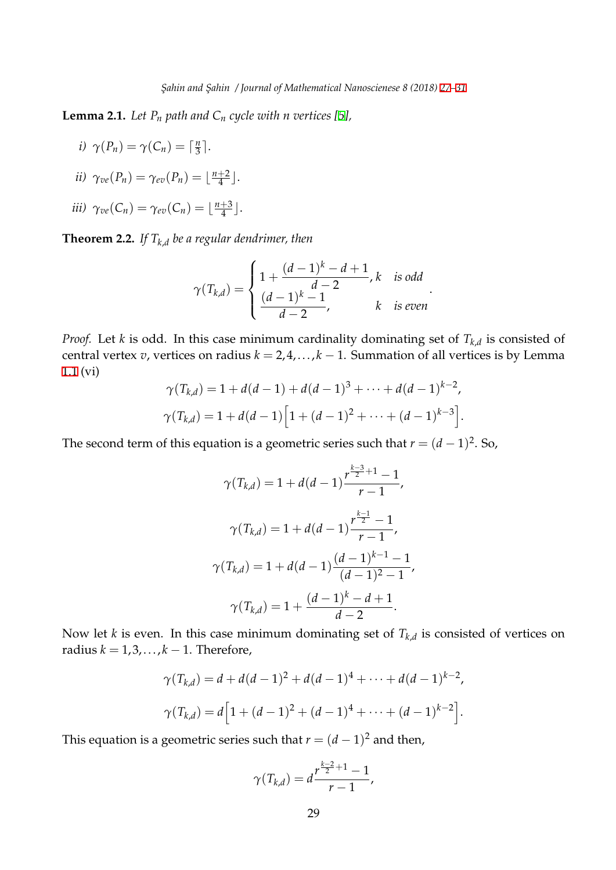**Lemma 2.1.** *Let P<sup>n</sup> path and C<sup>n</sup> cycle with n vertices [5],*

- *i*)  $\gamma(P_n) = \gamma(C_n) = \left\lceil \frac{n}{3} \right\rceil$  $\frac{n}{3}$ .
- *ii*)  $\gamma_{ve}(P_n) = \gamma_{ev}(P_n) = \lfloor \frac{n+2}{4} \rfloor$  $\frac{+2}{4}$ .

$$
iii) \ \gamma_{ve}(C_n) = \gamma_{ev}(C_n) = \lfloor \frac{n+3}{4} \rfloor.
$$

**Theorem 2.2.** *If*  $T_{k,d}$  *be a regular dendrimer, then* 

$$
\gamma(T_{k,d}) = \begin{cases} 1 + \frac{(d-1)^k - d + 1}{d-2}, k \quad \text{is odd} \\ \frac{(d-1)^k - 1}{d-2}, \quad k \quad \text{is even} \end{cases}.
$$

*Proof.* Let *k* is odd. In this case minimum cardinality dominating set of *Tk*,*<sup>d</sup>* is consisted of central vertex *v*, vertices on radius  $k = 2, 4, ..., k - 1$ . Summation of all vertices is by Lemma 1.1 (vi)

$$
\gamma(T_{k,d}) = 1 + d(d-1) + d(d-1)^3 + \dots + d(d-1)^{k-2},
$$
  

$$
\gamma(T_{k,d}) = 1 + d(d-1)\left[1 + (d-1)^2 + \dots + (d-1)^{k-3}\right].
$$

The second term of this equation is a geometric series such that  $r = (d-1)^2$ . So,

$$
\gamma(T_{k,d}) = 1 + d(d-1)\frac{r^{\frac{k-3}{2}+1} - 1}{r-1},
$$
  

$$
\gamma(T_{k,d}) = 1 + d(d-1)\frac{r^{\frac{k-1}{2}} - 1}{r-1},
$$
  

$$
\gamma(T_{k,d}) = 1 + d(d-1)\frac{(d-1)^{k-1} - 1}{(d-1)^2 - 1},
$$
  

$$
\gamma(T_{k,d}) = 1 + \frac{(d-1)^k - d + 1}{d-2}.
$$

Now let *k* is even. In this case minimum dominating set of *Tk*,*<sup>d</sup>* is consisted of vertices on radius  $k = 1, 3, \ldots, k - 1$ . Therefore,

$$
\gamma(T_{k,d}) = d + d(d-1)^2 + d(d-1)^4 + \dots + d(d-1)^{k-2},
$$
  

$$
\gamma(T_{k,d}) = d \left[ 1 + (d-1)^2 + (d-1)^4 + \dots + (d-1)^{k-2} \right].
$$

This equation is a geometric series such that  $r = (d-1)^2$  and then,

$$
\gamma(T_{k,d}) = d \frac{r^{\frac{k-2}{2}+1} - 1}{r-1},
$$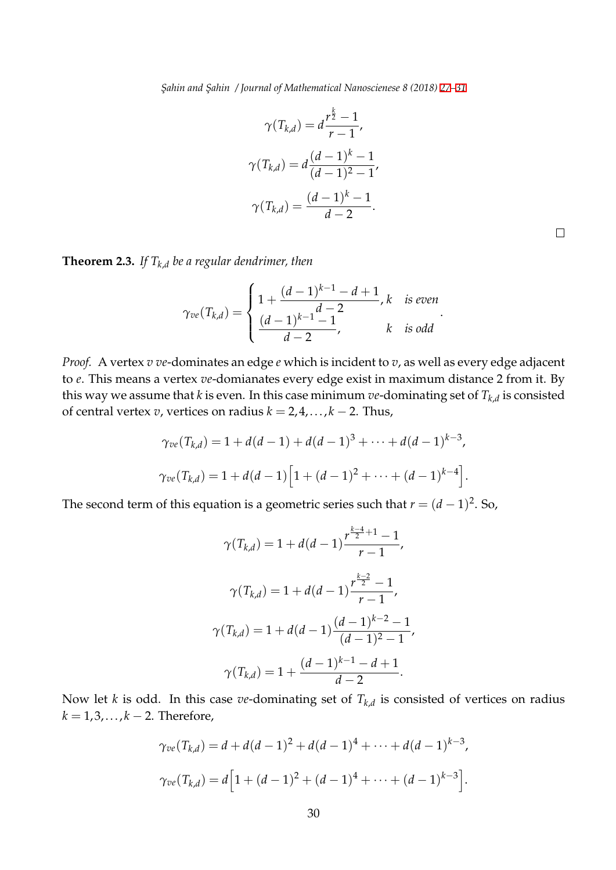$$
\gamma(T_{k,d}) = d \frac{r^{\frac{k}{2}} - 1}{r - 1},
$$
  

$$
\gamma(T_{k,d}) = d \frac{(d - 1)^k - 1}{(d - 1)^2 - 1},
$$
  

$$
\gamma(T_{k,d}) = \frac{(d - 1)^k - 1}{d - 2}.
$$

 $\Box$ 

**Theorem 2.3.** *If*  $T_{k,d}$  *be a regular dendrimer, then* 

$$
\gamma_{ve}(T_{k,d}) = \begin{cases} 1 + \frac{(d-1)^{k-1} - d + 1}{d-2}, k \quad \text{is even} \\ \frac{(d-1)^{k-1} - 1}{d-2}, \quad k \quad \text{is odd} \end{cases}.
$$

*Proof.* A vertex *v ve*-dominates an edge *e* which is incident to *v*, as well as every edge adjacent to *e*. This means a vertex *ve*-domianates every edge exist in maximum distance 2 from it. By this way we assume that  $k$  is even. In this case minimum  $ve$ -dominating set of  $T_{k,d}$  is consisted of central vertex *v*, vertices on radius *k* = 2, 4,. . ., *k −* 2. Thus,

$$
\gamma_{ve}(T_{k,d}) = 1 + d(d-1) + d(d-1)^3 + \dots + d(d-1)^{k-3},
$$
  

$$
\gamma_{ve}(T_{k,d}) = 1 + d(d-1)\Big[1 + (d-1)^2 + \dots + (d-1)^{k-4}\Big].
$$

The second term of this equation is a geometric series such that  $r = (d-1)^2$ . So,

$$
\gamma(T_{k,d}) = 1 + d(d-1)\frac{r^{\frac{k-4}{2}+1} - 1}{r-1},
$$
  

$$
\gamma(T_{k,d}) = 1 + d(d-1)\frac{r^{\frac{k-2}{2}} - 1}{r-1},
$$
  

$$
\gamma(T_{k,d}) = 1 + d(d-1)\frac{(d-1)^{k-2} - 1}{(d-1)^2 - 1},
$$
  

$$
\gamma(T_{k,d}) = 1 + \frac{(d-1)^{k-1} - d + 1}{d-2}.
$$

Now let *k* is odd. In this case *ve*-dominating set of *Tk*,*<sup>d</sup>* is consisted of vertices on radius *k* = 1, 3,. . ., *k −* 2. Therefore,

$$
\gamma_{ve}(T_{k,d}) = d + d(d-1)^2 + d(d-1)^4 + \dots + d(d-1)^{k-3},
$$
  

$$
\gamma_{ve}(T_{k,d}) = d\left[1 + (d-1)^2 + (d-1)^4 + \dots + (d-1)^{k-3}\right].
$$